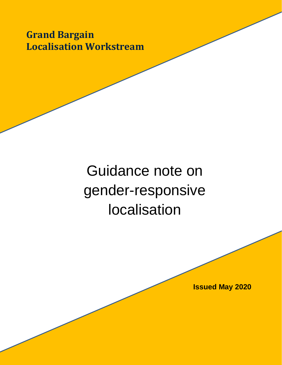**Grand Bargain Localisation Workstream** 

# Guidance note on gender-responsive localisation

**Issued May 2020**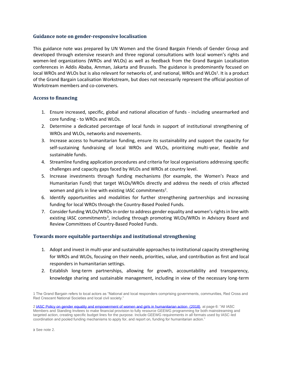#### **Guidance note on gender-responsive localisation**

This guidance note was prepared by UN Women and the Grand Bargain Friends of Gender Group and developed through extensive research and three regional consultations with local women's rights and women-led organizations (WROs and WLOs) as well as feedback from the Grand Bargain Localisation conferences in Addis Ababa, Amman, Jakarta and Brussels. The guidance is predominantly focused on local WROs and WLOs but is also relevant for networks of, and national, WROs and WLOs<sup>1</sup>. It is a product of the Grand Bargain Localisation Workstream, but does not necessarily represent the official position of Workstream members and co-conveners.

### **Access to financing**

- 1. Ensure increased, specific, global and national allocation of funds including unearmarked and core funding - to WROs and WLOs.
- 2. Determine a dedicated percentage of local funds in support of institutional strengthening of WROs and WLOs, networks and movements.
- 3. Increase access to humanitarian funding, ensure its sustainability and support the capacity for self-sustaining fundraising of local WROs and WLOs, prioritizing multi-year, flexible and sustainable funds.
- 4. Streamline funding application procedures and criteria for local organisations addressing specific challenges and capacity gaps faced by WLOs and WROs at country level.
- 5. Increase investments through funding mechanisms (for example, the Women's Peace and Humanitarian Fund) that target WLOs/WROs directly and address the needs of crisis affected women and girls in line with existing IASC commitments<sup>2</sup>.
- 6. Identify opportunities and modalities for further strengthening partnerships and increasing funding for local WROs through the Country-Based Pooled Funds.
- 7. Consider funding WLOs/WROs in order to address gender equality and women's rights in line with existing IASC commitments<sup>3</sup>, including through promoting WLOs/WROs in Advisory Board and Review Committees of Country-Based Pooled Funds.

### **Towards more equitable partnerships and institutional strengthening**

- 1. Adopt and invest in multi-year and sustainable approaches to institutional capacity strengthening for WROs and WLOs, focusing on their needs, priorities, value, and contribution as first and local responders in humanitarian settings.
- 2. Establish long-term partnerships, allowing for growth, accountability and transparency, knowledge sharing and sustainable management, including in view of the necessary long-term

1 The Grand Bargain refers to local actors as "National and local responders comprising governments, communities, Red Cross and Red Crescent National Societies and local civil society."

2 IASC Policy [on gender equality and empowerment of women and girls in humanitarian action \(2018\),](https://interagencystandingcommittee.org/gender-and-humanitarian-action/documents-public/iasc-policy-and-accountability-framework-gender) at page 6: "All IASC Members and Standing Invitees to make financial provision to fully resource GEEWG programming for both mainstreaming and targeted action, creating specific budget lines for the purpose. Include GEEWG requirements in all formats used by IASC-led coordination and pooled funding mechanisms to apply for, and report on, funding for humanitarian action."